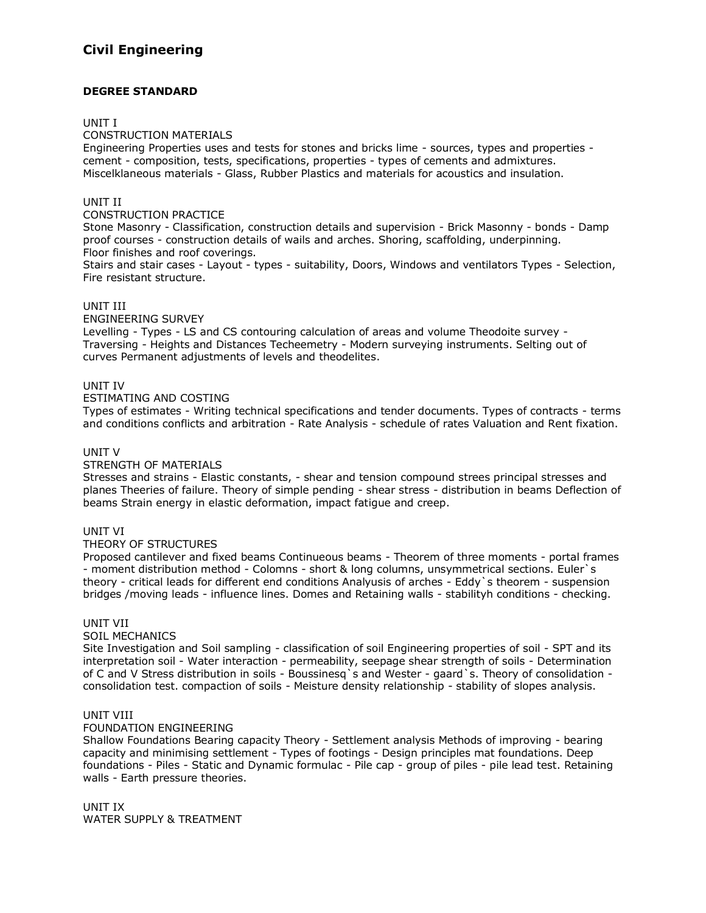# **Civil Engineering**

# **DEGREE STANDARD**

## UNIT I

CONSTRUCTION MATERIALS

Engineering Properties uses and tests for stones and bricks lime - sources, types and properties cement - composition, tests, specifications, properties - types of cements and admixtures. Miscelklaneous materials - Glass, Rubber Plastics and materials for acoustics and insulation.

## UNIT II

#### CONSTRUCTION PRACTICE

Stone Masonry - Classification, construction details and supervision - Brick Masonny - bonds - Damp proof courses - construction details of wails and arches. Shoring, scaffolding, underpinning. Floor finishes and roof coverings.

Stairs and stair cases - Layout - types - suitability, Doors, Windows and ventilators Types - Selection, Fire resistant structure.

## UNIT III

ENGINEERING SURVEY

Levelling - Types - LS and CS contouring calculation of areas and volume Theodoite survey - Traversing - Heights and Distances Techeemetry - Modern surveying instruments. Selting out of curves Permanent adjustments of levels and theodelites.

# UNIT IV

# ESTIMATING AND COSTING

Types of estimates - Writing technical specifications and tender documents. Types of contracts - terms and conditions conflicts and arbitration - Rate Analysis - schedule of rates Valuation and Rent fixation.

## UNIT V

#### STRENGTH OF MATERIALS

Stresses and strains - Elastic constants, - shear and tension compound strees principal stresses and planes Theeries of failure. Theory of simple pending - shear stress - distribution in beams Deflection of beams Strain energy in elastic deformation, impact fatigue and creep.

#### UNIT VI

#### THEORY OF STRUCTURES

Proposed cantilever and fixed beams Continueous beams - Theorem of three moments - portal frames - moment distribution method - Colomns - short & long columns, unsymmetrical sections. Euler`s theory - critical leads for different end conditions Analyusis of arches - Eddy`s theorem - suspension bridges /moving leads - influence lines. Domes and Retaining walls - stabilityh conditions - checking.

#### UNIT VII

#### SOIL MECHANICS

Site Investigation and Soil sampling - classification of soil Engineering properties of soil - SPT and its interpretation soil - Water interaction - permeability, seepage shear strength of soils - Determination of C and V Stress distribution in soils - Boussinesq`s and Wester - gaard`s. Theory of consolidation consolidation test. compaction of soils - Meisture density relationship - stability of slopes analysis.

#### UNIT VIII

#### FOUNDATION ENGINEERING

Shallow Foundations Bearing capacity Theory - Settlement analysis Methods of improving - bearing capacity and minimising settlement - Types of footings - Design principles mat foundations. Deep foundations - Piles - Static and Dynamic formulac - Pile cap - group of piles - pile lead test. Retaining walls - Earth pressure theories.

UNIT IX WATER SUPPLY & TREATMENT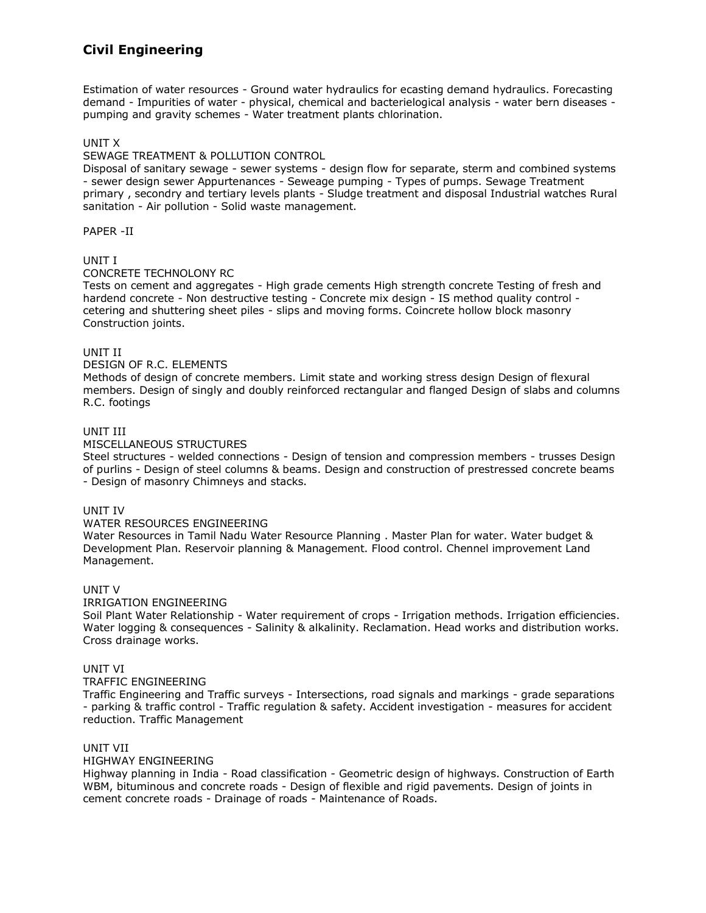# **Civil Engineering**

Estimation of water resources - Ground water hydraulics for ecasting demand hydraulics. Forecasting demand - Impurities of water - physical, chemical and bacterielogical analysis - water bern diseases pumping and gravity schemes - Water treatment plants chlorination.

# UNIT X

# SEWAGE TREATMENT & POLLUTION CONTROL

Disposal of sanitary sewage - sewer systems - design flow for separate, sterm and combined systems - sewer design sewer Appurtenances - Seweage pumping - Types of pumps. Sewage Treatment primary , secondry and tertiary levels plants - Sludge treatment and disposal Industrial watches Rural sanitation - Air pollution - Solid waste management.

PAPER -II

# UNIT I

## CONCRETE TECHNOLONY RC

Tests on cement and aggregates - High grade cements High strength concrete Testing of fresh and hardend concrete - Non destructive testing - Concrete mix design - IS method quality control cetering and shuttering sheet piles - slips and moving forms. Coincrete hollow block masonry Construction joints.

## UNIT II

## DESIGN OF R.C. ELEMENTS

Methods of design of concrete members. Limit state and working stress design Design of flexural members. Design of singly and doubly reinforced rectangular and flanged Design of slabs and columns R.C. footings

## UNIT III

## MISCELLANEOUS STRUCTURES

Steel structures - welded connections - Design of tension and compression members - trusses Design of purlins - Design of steel columns & beams. Design and construction of prestressed concrete beams - Design of masonry Chimneys and stacks.

#### UNIT IV

#### WATER RESOURCES ENGINEERING

Water Resources in Tamil Nadu Water Resource Planning . Master Plan for water. Water budget & Development Plan. Reservoir planning & Management. Flood control. Chennel improvement Land Management.

#### UNIT V

#### IRRIGATION ENGINEERING

Soil Plant Water Relationship - Water requirement of crops - Irrigation methods. Irrigation efficiencies. Water logging & consequences - Salinity & alkalinity. Reclamation. Head works and distribution works. Cross drainage works.

# UNIT VI

#### TRAFFIC ENGINEERING

Traffic Engineering and Traffic surveys - Intersections, road signals and markings - grade separations - parking & traffic control - Traffic regulation & safety. Accident investigation - measures for accident reduction. Traffic Management

## UNIT VII

## HIGHWAY ENGINEERING

Highway planning in India - Road classification - Geometric design of highways. Construction of Earth WBM, bituminous and concrete roads - Design of flexible and rigid pavements. Design of joints in cement concrete roads - Drainage of roads - Maintenance of Roads.